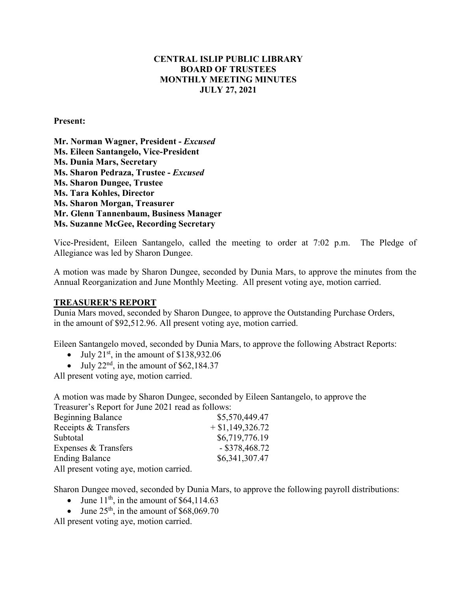#### **CENTRAL ISLIP PUBLIC LIBRARY BOARD OF TRUSTEES MONTHLY MEETING MINUTES JULY 27, 2021**

#### **Present:**

**Mr. Norman Wagner, President -** *Excused* **Ms. Eileen Santangelo, Vice-President Ms. Dunia Mars, Secretary Ms. Sharon Pedraza, Trustee -** *Excused*  **Ms. Sharon Dungee, Trustee Ms. Tara Kohles, Director Ms. Sharon Morgan, Treasurer Mr. Glenn Tannenbaum, Business Manager Ms. Suzanne McGee, Recording Secretary**

Vice-President, Eileen Santangelo, called the meeting to order at 7:02 p.m. The Pledge of Allegiance was led by Sharon Dungee.

A motion was made by Sharon Dungee, seconded by Dunia Mars, to approve the minutes from the Annual Reorganization and June Monthly Meeting. All present voting aye, motion carried.

#### **TREASURER'S REPORT**

Dunia Mars moved, seconded by Sharon Dungee, to approve the Outstanding Purchase Orders, in the amount of \$92,512.96. All present voting aye, motion carried.

Eileen Santangelo moved, seconded by Dunia Mars, to approve the following Abstract Reports:

- July  $21<sup>st</sup>$ , in the amount of \$138,932.06
- July  $22<sup>nd</sup>$ , in the amount of \$62,184.37

All present voting aye, motion carried.

A motion was made by Sharon Dungee, seconded by Eileen Santangelo, to approve the Treasurer's Report for June 2021 read as follows:

| <b>Beginning Balance</b> | \$5,570,449.47     |
|--------------------------|--------------------|
| Receipts & Transfers     | $+$ \$1,149,326.72 |
| Subtotal                 | \$6,719,776.19     |
| Expenses & Transfers     | $-$ \$378,468.72   |
| <b>Ending Balance</b>    | \$6,341,307.47     |
|                          |                    |

All present voting aye, motion carried.

Sharon Dungee moved, seconded by Dunia Mars, to approve the following payroll distributions:

- June  $11<sup>th</sup>$ , in the amount of \$64,114.63
- June  $25<sup>th</sup>$ , in the amount of \$68,069.70

All present voting aye, motion carried.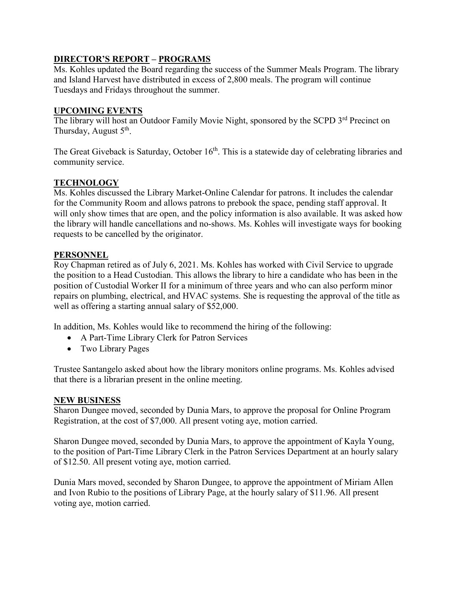## **DIRECTOR'S REPORT – PROGRAMS**

Ms. Kohles updated the Board regarding the success of the Summer Meals Program. The library and Island Harvest have distributed in excess of 2,800 meals. The program will continue Tuesdays and Fridays throughout the summer.

### **UPCOMING EVENTS**

The library will host an Outdoor Family Movie Night, sponsored by the SCPD 3<sup>rd</sup> Precinct on Thursday, August  $5<sup>th</sup>$ .

The Great Giveback is Saturday, October 16<sup>th</sup>. This is a statewide day of celebrating libraries and community service.

# **TECHNOLOGY**

Ms. Kohles discussed the Library Market-Online Calendar for patrons. It includes the calendar for the Community Room and allows patrons to prebook the space, pending staff approval. It will only show times that are open, and the policy information is also available. It was asked how the library will handle cancellations and no-shows. Ms. Kohles will investigate ways for booking requests to be cancelled by the originator.

## **PERSONNEL**

Roy Chapman retired as of July 6, 2021. Ms. Kohles has worked with Civil Service to upgrade the position to a Head Custodian. This allows the library to hire a candidate who has been in the position of Custodial Worker II for a minimum of three years and who can also perform minor repairs on plumbing, electrical, and HVAC systems. She is requesting the approval of the title as well as offering a starting annual salary of \$52,000.

In addition, Ms. Kohles would like to recommend the hiring of the following:

- A Part-Time Library Clerk for Patron Services
- Two Library Pages

Trustee Santangelo asked about how the library monitors online programs. Ms. Kohles advised that there is a librarian present in the online meeting.

#### **NEW BUSINESS**

Sharon Dungee moved, seconded by Dunia Mars, to approve the proposal for Online Program Registration, at the cost of \$7,000. All present voting aye, motion carried.

Sharon Dungee moved, seconded by Dunia Mars, to approve the appointment of Kayla Young, to the position of Part-Time Library Clerk in the Patron Services Department at an hourly salary of \$12.50. All present voting aye, motion carried.

Dunia Mars moved, seconded by Sharon Dungee, to approve the appointment of Miriam Allen and Ivon Rubio to the positions of Library Page, at the hourly salary of \$11.96. All present voting aye, motion carried.